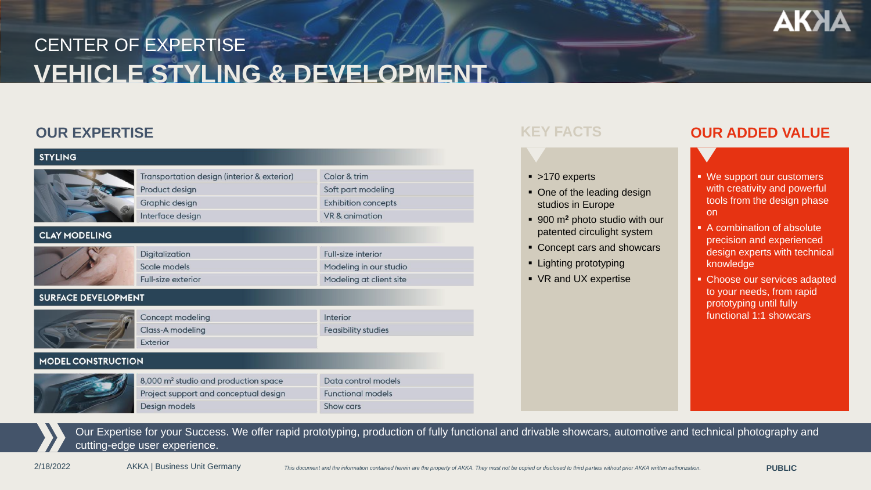

# **VEHICLE STYLING & DEVELOPMENT** CENTER OF EXPERTISE

## **OUR EXPERTISE** *KEY FACTS*

| <b>STYLING</b>             |                                                               |                                    |
|----------------------------|---------------------------------------------------------------|------------------------------------|
|                            | Transportation design (interior & exterior)<br>Product design | Color & trim<br>Soft part modeling |
|                            | Graphic design                                                | <b>Exhibition concepts</b>         |
|                            | Interface design                                              | VR & animation                     |
| <b>CLAY MODELING</b>       |                                                               |                                    |
|                            | Digitalization                                                | <b>Full-size interior</b>          |
|                            | Scale models                                                  | Modeling in our studio             |
|                            | <b>Full-size exterior</b>                                     | Modeling at client site            |
| <b>SURFACE DEVELOPMENT</b> |                                                               |                                    |
|                            | Concept modeling                                              | Interior                           |
|                            | Class-A modeling                                              | <b>Feasibility studies</b>         |
|                            | Exterior                                                      |                                    |
| <b>MODEL CONSTRUCTION</b>  |                                                               |                                    |
|                            | 8,000 m <sup>2</sup> studio and production space              | Data control models                |
|                            | Project support and conceptual design                         | <b>Functional models</b>           |
|                            | Design models                                                 | Show cars                          |

### ■ >170 experts

- One of the leading design studios in Europe
- 900 m**<sup>2</sup>** photo studio with our patented circulight system
- Concept cars and showcars
- Lighting prototyping
- VR and UX expertise

### **OUR ADDED VALUE**



- A combination of absolute precision and experienced design experts with technical knowledge
- Choose our services adapted to your needs, from rapid prototyping until fully functional 1:1 showcars

Our Expertise for your Success. We offer rapid prototyping, production of fully functional and drivable showcars, automotive and technical photography and cutting-edge user experience.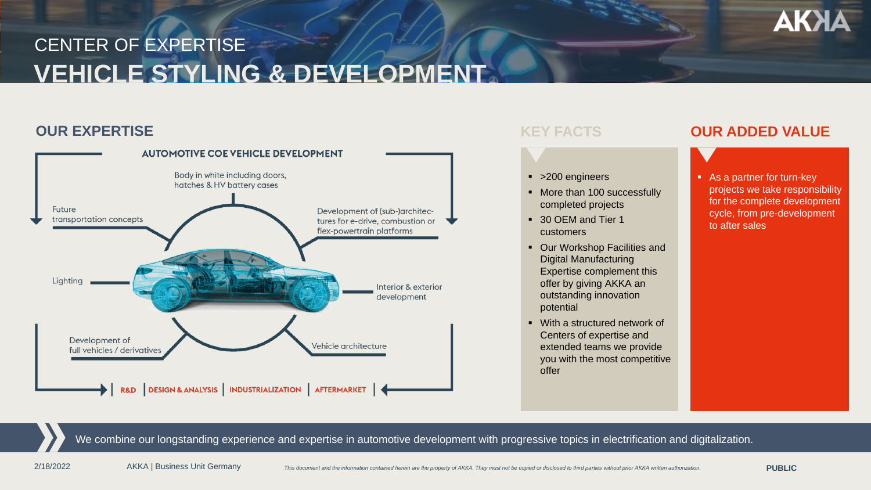# **AKXA**

# **VEHICLE STYLING & DEVELOPMENT** CENTER OF EXPERTISE

## **OUR EXPERTISE** *KEY FACTS*



- >200 engineers
- More than 100 successfully completed projects
- 30 OFM and Tier 1 customers
- Our Workshop Facilities and Digital Manufacturing Expertise complement this offer by giving AKKA an outstanding innovation potential
- With a structured network of Centers of expertise and extended teams we provide you with the most competitive offer

### **OUR ADDED VALUE**

■ As a partner for turn-key projects we take responsibility for the complete development cycle, from pre-development to after sales

We combine our longstanding experience and expertise in automotive development with progressive topics in electrification and digitalization.